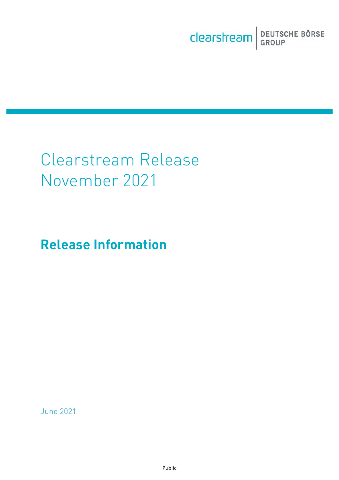Clearstream BEUTSCHE BÖRSE

# Clearstream Release November 2021

## **Release Information**

June 2021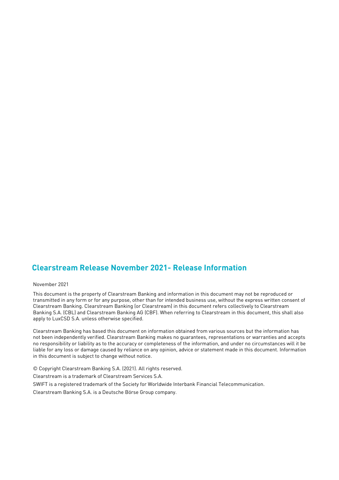#### **Clearstream Release November 2021- Release Information**

November 2021

This document is the property of Clearstream Banking and information in this document may not be reproduced or transmitted in any form or for any purpose, other than for intended business use, without the express written consent of Clearstream Banking. Clearstream Banking (or Clearstream) in this document refers collectively to Clearstream Banking S.A. (CBL) and Clearstream Banking AG (CBF). When referring to Clearstream in this document, this shall also apply to LuxCSD S.A. unless otherwise specified.

Clearstream Banking has based this document on information obtained from various sources but the information has not been independently verified. Clearstream Banking makes no guarantees, representations or warranties and accepts no responsibility or liability as to the accuracy or completeness of the information, and under no circumstances will it be liable for any loss or damage caused by reliance on any opinion, advice or statement made in this document. Information in this document is subject to change without notice.

© Copyright Clearstream Banking S.A. (2021). All rights reserved.

Clearstream is a trademark of Clearstream Services S.A.

SWIFT is a registered trademark of the Society for Worldwide Interbank Financial Telecommunication.

Clearstream Banking S.A. is a Deutsche Börse Group company.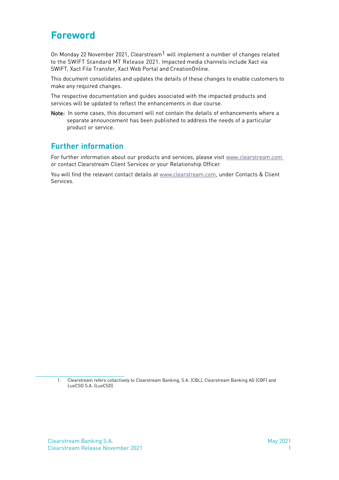### <span id="page-2-0"></span>**Foreword**

On Monday 22 November 2021, Clearstream<sup>1</sup> will implement a number of changes related to the SWIFT Standard MT Release 2021. Impacted media channels include Xact via SWIFT, Xact File Transfer, Xact Web Portal and CreationOnline.

This document consolidates and updates the details of these changes to enable customers to make any required changes.

The respective documentation and guides associated with the impacted products and services will be updated to reflect the enhancements in due course.

Note: In some cases, this document will not contain the details of enhancements where a separate announcement has been published to address the needs of a particular product or service.

#### **Further information**

For further information about our products and services, please visit [www.clearstream.com](http://www.clearstream.com/) or contact Clearstream Client Services or your Relationship Officer.

You will find the relevant contact details at [www.clearstream.com,](http://www.clearstream.com/ci/dispatch/en/subcat/7PMJCA223MMIS) under Contacts & Client Services.

<sup>1.</sup> Clearstream refers collectively to Clearstream Banking, S.A. (CBL), Clearstream Banking AG (CBF) and LuxCSD S.A. (LuxCSD).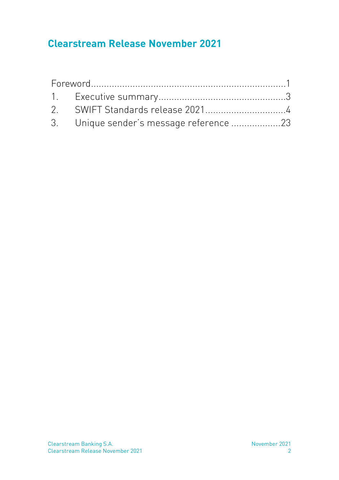### **Clearstream Release November 2021**

| 3. Unique sender's message reference 23 |  |
|-----------------------------------------|--|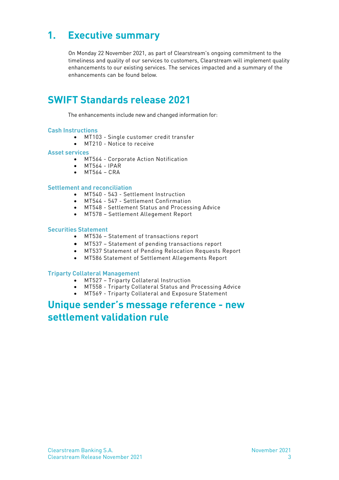### <span id="page-4-0"></span>**1. Executive summary**

On Monday 22 November 2021, as part of Clearstream's ongoing commitment to the timeliness and quality of our services to customers, Clearstream will implement quality enhancements to our existing services. The services impacted and a summary of the enhancements can be found below.

### **SWIFT Standards release 2021**

The enhancements include new and changed information for:

#### **Cash Instructions**

- MT103 Single customer credit transfer
- MT210 Notice to receive

#### **Asset services**

- MT564 Corporate Action Notification
- $\bullet$  MT564 IPAR
- MT564 CRA

#### **Settlement and reconciliation**

- MT540 543 Settlement Instruction
- MT544 547 Settlement Confirmation
- MT548 Settlement Status and Processing Advice
- MT578 Settlement Allegement Report

#### **Securities Statement**

- MT536 Statement of transactions report
- MT537 Statement of pending transactions report
- MT537 Statement of Pending Relocation Requests Report
- MT586 Statement of Settlement Allegements Report

#### **Triparty Collateral Management**

- MT527 Triparty Collateral Instruction
- MT558 Triparty Collateral Status and Processing Advice
- MT569 Triparty Collateral and Exposure Statement

### **Unique sender's message reference - new settlement validation rule**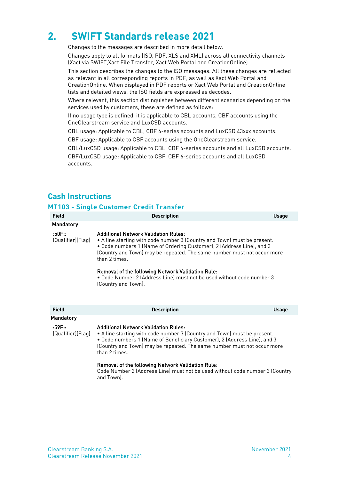### <span id="page-5-0"></span>**2. SWIFT Standards release 2021**

Changes to the messages are described in more detail below.

Changes apply to all formats (ISO, PDF, XLS and XML) across all connectivity channels (Xact via SWIFT,Xact File Transfer, Xact Web Portal and CreationOnline).

This section describes the changes to the ISO messages. All these changes are reflected as relevant in all corresponding reports in PDF, as well as Xact Web Portal and CreationOnline. When displayed in PDF reports or Xact Web Portal and CreationOnline lists and detailed views, the ISO fields are expressed as decodes.

Where relevant, this section distinguishes between different scenarios depending on the services used by customers, these are defined as follows:

If no usage type is defined, it is applicable to CBL accounts, CBF accounts using the OneClearstream service and LuxCSD accounts.

CBL usage: Applicable to CBL, CBF 6-series accounts and LuxCSD 43xxx accounts.

CBF usage: Applicable to CBF accounts using the OneClearstream service.

CBL/LuxCSD usage: Applicable to CBL, CBF 6-series accounts and all LuxCSD accounts. CBF/LuxCSD usage: Applicable to CBF, CBF 6-series accounts and all LuxCSD accounts.

#### **Cash Instructions**

#### **MT103 - Single Customer Credit Transfer**

| <b>Field</b>                | <b>Description</b>                                                                                                                                                                                                                                                                              | <b>Usage</b> |
|-----------------------------|-------------------------------------------------------------------------------------------------------------------------------------------------------------------------------------------------------------------------------------------------------------------------------------------------|--------------|
| <b>Mandatory</b>            |                                                                                                                                                                                                                                                                                                 |              |
| :50F::<br>(Qualifier)(Flag) | <b>Additional Network Validation Rules:</b><br>• A line starting with code number 3 (Country and Town) must be present.<br>. Code numbers 1 (Name of Ordering Customer), 2 (Address Line), and 3<br>(Country and Town) may be repeated. The same number must not occur more<br>than 2 times.    |              |
|                             | Removal of the following Network Validation Rule:<br>. Code Number 2 (Address Line) must not be used without code number 3<br>(Country and Town).                                                                                                                                               |              |
| Field                       | <b>Description</b>                                                                                                                                                                                                                                                                              | <b>Usage</b> |
| <b>Mandatory</b>            |                                                                                                                                                                                                                                                                                                 |              |
| :59F::<br>(Qualifier)(Flag) | <b>Additional Network Validation Rules:</b><br>• A line starting with code number 3 (Country and Town) must be present.<br>• Code numbers 1 (Name of Beneficiary Customer), 2 (Address Line), and 3<br>(Country and Town) may be repeated. The same number must not occur more<br>than 2 times. |              |
|                             | Removal of the following Network Validation Rule:<br>Cade Number $20$ Address Line must not be used without each number $20$ Country                                                                                                                                                            |              |

Code Number 2 (Address Line) must not be used without code number 3 (Country and Town).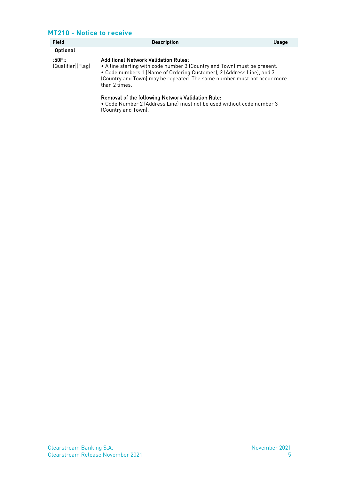#### **MT210 - Notice to receive**

(Country and Town).

| <b>Field</b>                | <b>Description</b>                                                                                                                                                                                                                                                                           | <b>Usage</b> |
|-----------------------------|----------------------------------------------------------------------------------------------------------------------------------------------------------------------------------------------------------------------------------------------------------------------------------------------|--------------|
| <b>Optional</b>             |                                                                                                                                                                                                                                                                                              |              |
| :50F::<br>(Qualifier)(Flag) | <b>Additional Network Validation Rules:</b><br>• A line starting with code number 3 (Country and Town) must be present.<br>. Code numbers 1 (Name of Ordering Customer), 2 (Address Line), and 3<br>(Country and Town) may be repeated. The same number must not occur more<br>than 2 times. |              |
|                             | Removal of the following Network Validation Rule:<br>. Code Number 2 (Address Line) must not be used without code number 3                                                                                                                                                                   |              |

Clearstream Banking S.A. November 2021 Clearstream Release November 2021 5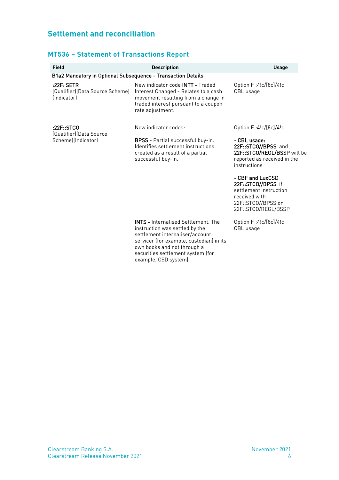#### **Settlement and reconciliation**

#### **MT536 – Statement of Transactions Report**

| <b>Field</b>                                                 | <b>Description</b>                                                                                                                                                                                                                                       | <b>Usage</b>                                                                                                                                                                          |
|--------------------------------------------------------------|----------------------------------------------------------------------------------------------------------------------------------------------------------------------------------------------------------------------------------------------------------|---------------------------------------------------------------------------------------------------------------------------------------------------------------------------------------|
| B1a2 Mandatory in Optional Subsequence - Transaction Details |                                                                                                                                                                                                                                                          |                                                                                                                                                                                       |
| :22F: SETR<br>(Qualifier)(Data Source Scheme)<br>(Indicator) | New indicator code <b>INTT</b> - Traded<br>Interest Changed - Relates to a cash<br>movement resulting from a change in<br>traded interest pursuant to a coupon<br>rate adjustment.                                                                       | Option F:4!c/[8c]/4!c<br>CBL usage                                                                                                                                                    |
| :22F::STCO                                                   | New indicator codes:                                                                                                                                                                                                                                     | Option F: 4! c/[8c]/4! c                                                                                                                                                              |
| (Qualifier)(Data Source<br>Scheme)(Indicator)                | <b>BPSS</b> - Partial successful buy-in.<br>Identifies settlement instructions<br>created as a result of a partial<br>successful buy-in.                                                                                                                 | - CBL usage:<br>22F::STCO//BPSS and<br>22F::STCO/REGL/BSSP will be<br>reported as received in the<br>instructions<br>- CBF and LuxCSD<br>22F::STCO//BPSS if<br>settlement instruction |
|                                                              |                                                                                                                                                                                                                                                          | received with<br>22F::STCO//BPSS or<br>22F::STCO/REGL/BSSP                                                                                                                            |
|                                                              | <b>INTS - Internalised Settlement. The</b><br>instruction was settled by the<br>settlement internaliser/account<br>servicer (for example, custodian) in its<br>own books and not through a<br>securities settlement system (for<br>example, CSD system). | Option F:4!c/[8c]/4!c<br>CBL usage                                                                                                                                                    |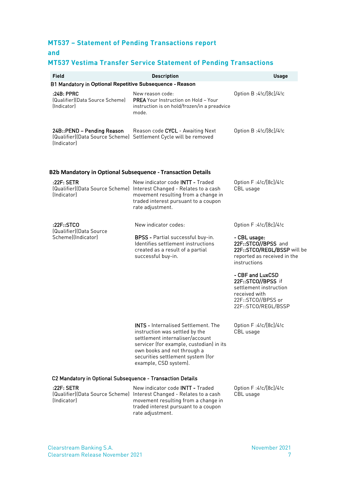#### **MT537 – Statement of Pending Transactions report**

#### **and**

#### **MT537 Vestima Transfer Service Statement of Pending Transactions**

| <b>Field</b>                                                                                     | <b>Description</b>                                                                                                                                                                                                                                       | <b>Usage</b>                                                                                                                   |
|--------------------------------------------------------------------------------------------------|----------------------------------------------------------------------------------------------------------------------------------------------------------------------------------------------------------------------------------------------------------|--------------------------------------------------------------------------------------------------------------------------------|
| B1 Mandatory in Optional Repetitive Subsequence - Reason                                         |                                                                                                                                                                                                                                                          |                                                                                                                                |
| :24B: PPRC<br>(Qualifier)(Data Source Scheme)<br>(Indicator)                                     | New reason code:<br><b>PREA</b> Your Instruction on Hold - Your<br>instruction is on hold/frozen/in a preadvice<br>mode.                                                                                                                                 | Option B:4!c/[8c]/4!c                                                                                                          |
| 24B::PEND - Pending Reason<br>(Qualifier)(Data Source Scheme)<br><i><u><b>Indicatorl</b></u></i> | Reason code CYCL - Awaiting Next<br>Settlement Cycle will be removed                                                                                                                                                                                     | Option B:4!c/[8c]/4!c                                                                                                          |
| <b>B2b Mandatory in Optional Subsequence - Transaction Details</b>                               |                                                                                                                                                                                                                                                          |                                                                                                                                |
| :22F:SETR<br><i><u><b>Indicatorl</b></u></i>                                                     | New indicator code INTT - Traded<br>(Qualifier)(Data Source Scheme) Interest Changed - Relates to a cash<br>movement resulting from a change in<br>traded interest pursuant to a coupon<br>rate adjustment.                                              | Option F:4!c/[8c]/4!c<br>CBL usage                                                                                             |
| :22F::STCO                                                                                       | New indicator codes:                                                                                                                                                                                                                                     | Option F:4!c/[8c]/4!c                                                                                                          |
| (Qualifier)(Data Source<br>Scheme)(Indicator)                                                    | BPSS - Partial successful buy-in.<br>Identifies settlement instructions<br>created as a result of a partial<br>successful buy-in.                                                                                                                        | - CBL usage:<br>22F::STCO//BPSS and<br>22F::STCO/REGL/BSSP will be<br>reported as received in the<br>instructions              |
|                                                                                                  |                                                                                                                                                                                                                                                          | - CBF and LuxCSD<br>22F::STCO//BPSS if<br>settlement instruction<br>received with<br>22F::STCO//BPSS or<br>22F::STCO/REGL/BSSP |
|                                                                                                  | <b>INTS - Internalised Settlement. The</b><br>instruction was settled by the<br>settlement internaliser/account<br>servicer (for example, custodian) in its<br>own books and not through a<br>securities settlement system (for<br>example, CSD system). | Option F:4!c/[8c]/4!c<br>CBL usage                                                                                             |
| C2 Mandatory in Optional Subsequence - Transaction Details                                       |                                                                                                                                                                                                                                                          |                                                                                                                                |
| :22F:SETR<br>(Indicator)                                                                         | New indicator code <b>INTT</b> - Traded<br>(Qualifier)(Data Source Scheme) Interest Changed - Relates to a cash<br>movement resulting from a change in<br>traded interest pursuant to a coupon<br>rate adjustment.                                       | Option F:4!c/[8c]/4!c<br>CBL usage                                                                                             |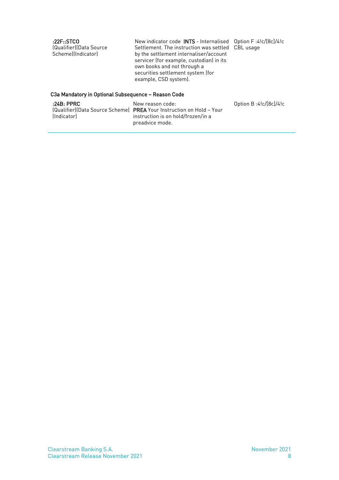| :22F::STCO<br>(Qualifier)(Data Source<br>Scheme)(Indicator) | New indicator code INTS - Internalised Option F:4!c/[8c]/4!c<br>Settlement. The instruction was settled CBL usage<br>by the settlement internaliser/account<br>servicer (for example, custodian) in its<br>own books and not through a<br>securities settlement system (for |  |
|-------------------------------------------------------------|-----------------------------------------------------------------------------------------------------------------------------------------------------------------------------------------------------------------------------------------------------------------------------|--|
|                                                             | example, CSD system).                                                                                                                                                                                                                                                       |  |

#### C3a Mandatory in Optional Subsequence – Reason Code

| :24B: PPRC  | New reason code:                                                             | Option $B:4!c/[8c]/4!c$ |
|-------------|------------------------------------------------------------------------------|-------------------------|
|             | <u> [Qualifier][Data Source Scheme]</u> PREA Your Instruction on Hold - Your |                         |
| (Indicator) | instruction is on hold/frozen/in a                                           |                         |
|             | preadvice mode.                                                              |                         |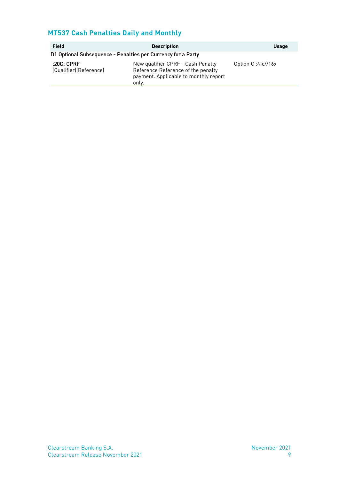#### **MT537 Cash Penalties Daily and Monthly**

| Field                                                        | <b>Description</b>                                                                                                        | <b>Usage</b>         |
|--------------------------------------------------------------|---------------------------------------------------------------------------------------------------------------------------|----------------------|
| D1 Optional Subsequence - Penalties per Currency for a Party |                                                                                                                           |                      |
| :20C:CPRF<br>(Qualifier)(Reference)                          | New qualifier CPRF - Cash Penalty<br>Reference Reference of the penalty<br>payment. Applicable to monthly report<br>only. | Option C: $4!c$ /16x |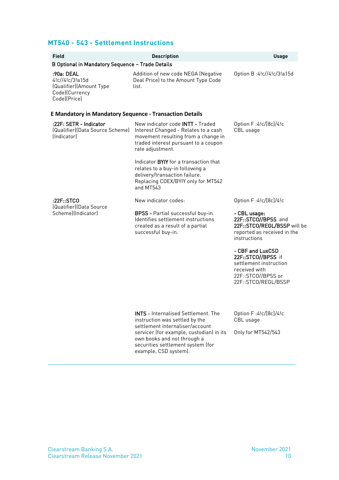#### **MT540 - 543 - Settlement Instructions**

| <b>Field</b>                                                                               | <b>Description</b>                                                                                                                                                                                                                 | <b>Usage</b>                                                                                                                   |
|--------------------------------------------------------------------------------------------|------------------------------------------------------------------------------------------------------------------------------------------------------------------------------------------------------------------------------------|--------------------------------------------------------------------------------------------------------------------------------|
| B Optional in Mandatory Sequence - Trade Details                                           |                                                                                                                                                                                                                                    |                                                                                                                                |
| :90a: DEAL<br>4!c//4!c/3!a15d<br>(Qualifier)(Amount Type<br>Code)(Currency<br>Code)(Price) | Addition of new code NEGA (Negative<br>Deal Price) to the Amount Type Code<br>list.                                                                                                                                                | Option B:4!c//4!c/3!a15d                                                                                                       |
| <b>E Mandatory in Mandatory Sequence - Transaction Details</b>                             |                                                                                                                                                                                                                                    |                                                                                                                                |
| :22F: SETR - Indicator<br>(Qualifier)(Data Source Scheme)<br>(Indicator)                   | New indicator code <b>INTT</b> - Traded<br>Interest Changed - Relates to a cash<br>movement resulting from a change in<br>traded interest pursuant to a coupon<br>rate adjustment.<br>Indicator <b>BYIY</b> for a transaction that | Option F:4!c/[8c]/4!c<br>CBL usage                                                                                             |
|                                                                                            | relates to a buy-in following a<br>delivery/transaction failure.<br>Replacing COEX/BYIY only for MT542<br>and MT543                                                                                                                |                                                                                                                                |
| :22F::STCO<br>(Qualifier)(Data Source                                                      | New indicator codes:                                                                                                                                                                                                               | Option F:4!c/[8c]/4!c                                                                                                          |
| Scheme)(Indicator)                                                                         | <b>BPSS</b> - Partial successful buy-in.<br>Identifies settlement instructions<br>created as a result of a partial<br>successful buy-in.                                                                                           | - CBL usage:<br>22F::STCO//BPSS and<br>22F::STCO/REGL/BSSP will be<br>reported as received in the<br>instructions              |
|                                                                                            |                                                                                                                                                                                                                                    | - CBF and LuxCSD<br>22F::STCO//BPSS if<br>settlement instruction<br>received with<br>22F::STCO//BPSS or<br>22F::STCO/REGL/BSSP |
|                                                                                            | <b>INTS - Internalised Settlement. The</b><br>instruction was settled by the<br>settlement internaliser/account                                                                                                                    | Option F:4!c/[8c]/4!c<br>CBL usage                                                                                             |
|                                                                                            | servicer (for example, custodian) in its<br>own books and not through a<br>securities settlement system (for<br>example, CSD system).                                                                                              | Only for MT542/543                                                                                                             |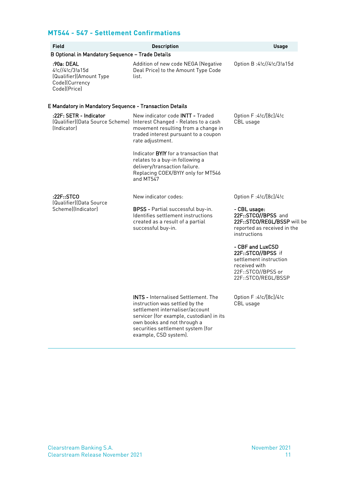#### **MT544 - 547 - Settlement Confirmations**

| <b>Field</b>                                                                               | <b>Description</b>                                                                                                                                                                                                                                       | <b>Usage</b>                                                                                                                   |
|--------------------------------------------------------------------------------------------|----------------------------------------------------------------------------------------------------------------------------------------------------------------------------------------------------------------------------------------------------------|--------------------------------------------------------------------------------------------------------------------------------|
| B Optional in Mandatory Sequence - Trade Details                                           |                                                                                                                                                                                                                                                          |                                                                                                                                |
| :90a: DEAL<br>4!c//4!c/3!a15d<br>(Qualifier)(Amount Type<br>Code)(Currency<br>Code)(Price) | Addition of new code NEGA (Negative<br>Deal Price) to the Amount Type Code<br>list.                                                                                                                                                                      | Option B:4!c//4!c/3!a15d                                                                                                       |
| <b>E Mandatory in Mandatory Sequence - Transaction Details</b>                             |                                                                                                                                                                                                                                                          |                                                                                                                                |
| :22F: SETR - Indicator<br>(Indicator)                                                      | New indicator code <b>INTT</b> - Traded<br>(Qualifier)(Data Source Scheme) Interest Changed - Relates to a cash<br>movement resulting from a change in<br>traded interest pursuant to a coupon<br>rate adjustment.                                       | Option F:4!c/[8c]/4!c<br>CBL usage                                                                                             |
|                                                                                            | Indicator BYIY for a transaction that<br>relates to a buy-in following a<br>delivery/transaction failure.<br>Replacing COEX/BYIY only for MT546<br>and MT547                                                                                             |                                                                                                                                |
| :22F::STCO<br>(Qualifier)(Data Source                                                      | New indicator codes:                                                                                                                                                                                                                                     | Option F:4!c/[8c]/4!c                                                                                                          |
| Scheme)(Indicator)                                                                         | <b>BPSS</b> - Partial successful buy-in.<br>Identifies settlement instructions<br>created as a result of a partial<br>successful buy-in.                                                                                                                 | - CBL usage:<br>22F::STCO//BPSS and<br>22F::STCO/REGL/BSSP will be<br>reported as received in the<br>instructions              |
|                                                                                            |                                                                                                                                                                                                                                                          | - CBF and LuxCSD<br>22F::STCO//BPSS if<br>settlement instruction<br>received with<br>22F::STCO//BPSS or<br>22F::STCO/REGL/BSSP |
|                                                                                            | <b>INTS</b> - Internalised Settlement. The<br>instruction was settled by the<br>settlement internaliser/account<br>servicer (for example, custodian) in its<br>own books and not through a<br>securities settlement system (for<br>example, CSD system). | Option F:4!c/[8c]/4!c<br>CBL usage                                                                                             |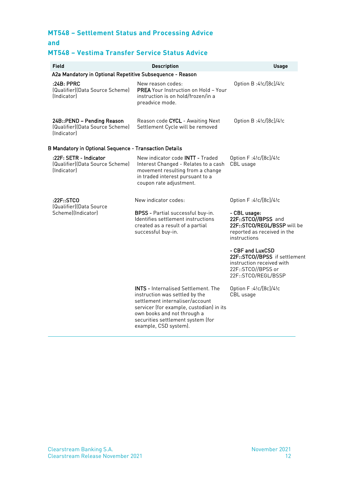### **MT548 – Settlement Status and Processing Advice**

**and**

#### **MT548 – Vestima Transfer Service Status Advice**

| Field                                                                            | <b>Description</b>                                                                                                                                                                                                                                       | <b>Usage</b>                                                                                                                |  |
|----------------------------------------------------------------------------------|----------------------------------------------------------------------------------------------------------------------------------------------------------------------------------------------------------------------------------------------------------|-----------------------------------------------------------------------------------------------------------------------------|--|
| A2a Mandatory in Optional Repetitive Subsequence - Reason                        |                                                                                                                                                                                                                                                          |                                                                                                                             |  |
| :24B: PPRC<br>(Qualifier)(Data Source Scheme)<br><i><u><b>Indicatorl</b></u></i> | New reason codes:<br>PREA Your Instruction on Hold - Your<br>instruction is on hold/frozen/in a<br>preadvice mode.                                                                                                                                       | Option B:4!c/[8c]/4!c                                                                                                       |  |
| 24B::PEND - Pending Reason<br>[Qualifier][Data Source Scheme]<br>(Indicator)     | Reason code CYCL - Awaiting Next<br>Settlement Cycle will be removed                                                                                                                                                                                     | Option B:4!c/[8c]/4!c                                                                                                       |  |
| <b>B Mandatory in Optional Sequence - Transaction Details</b>                    |                                                                                                                                                                                                                                                          |                                                                                                                             |  |
| :22F: SETR - Indicator<br>(Qualifier)(Data Source Scheme)<br><i>(Indicator)</i>  | New indicator code INTT - Traded<br>Interest Changed - Relates to a cash<br>movement resulting from a change<br>in traded interest pursuant to a<br>coupon rate adjustment.                                                                              | Option F:4!c/[8c]/4!c<br>CBL usage                                                                                          |  |
| :22F::STCO<br>(Qualifier)(Data Source                                            | New indicator codes:                                                                                                                                                                                                                                     | Option F:4!c/[8c]/4!c                                                                                                       |  |
| Scheme)(Indicator)                                                               | BPSS - Partial successful buy-in.<br>Identifies settlement instructions<br>created as a result of a partial<br>successful buy-in.                                                                                                                        | - CBL usage:<br>22F::STCO//BPSS and<br>22F::STCO/REGL/BSSP will be<br>reported as received in the<br>instructions           |  |
|                                                                                  |                                                                                                                                                                                                                                                          | - CBF and LuxCSD<br>22F::STCO//BPSS if settlement<br>instruction received with<br>22F::STCO//BPSS or<br>22F::STCO/REGL/BSSP |  |
|                                                                                  | <b>INTS - Internalised Settlement. The</b><br>instruction was settled by the<br>settlement internaliser/account<br>servicer (for example, custodian) in its<br>own books and not through a<br>securities settlement system (for<br>example, CSD system). | Option F:4!c/[8c]/4!c<br>CBL usage                                                                                          |  |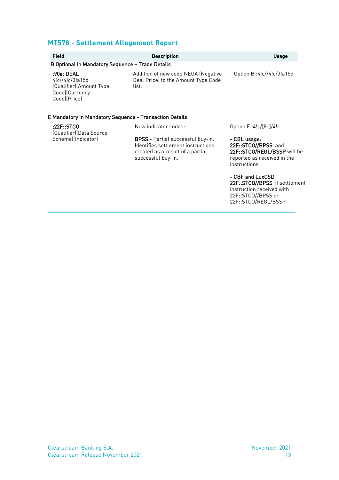#### **MT578 - Settlement Allegement Report**

| <b>Field</b>                                                                                       | <b>Description</b>                                                                                                                       | <b>Usage</b>                                                                                                      |
|----------------------------------------------------------------------------------------------------|------------------------------------------------------------------------------------------------------------------------------------------|-------------------------------------------------------------------------------------------------------------------|
| B Optional in Mandatory Sequence - Trade Details                                                   |                                                                                                                                          |                                                                                                                   |
| :90a: DEAL<br>$4!c$ //4! $c$ /3!a 15d<br>(Qualifier)(Amount Type<br>Code)(Currency<br>Code)(Price) | Addition of new code NEGA (Negative<br>Deal Price) to the Amount Type Code<br>list.                                                      | Option B:4!c//4!c/3!a15d                                                                                          |
| E Mandatory in Mandatory Sequence - Transaction Details                                            |                                                                                                                                          |                                                                                                                   |
| :22F::STCO<br>(Qualifier)(Data Source                                                              | New indicator codes:                                                                                                                     | Option F:4!c/[8c]/4!c                                                                                             |
| Scheme)(Indicator)                                                                                 | <b>BPSS</b> - Partial successful buy-in.<br>Identifies settlement instructions<br>created as a result of a partial<br>successful buy-in. | - CBL usage:<br>22F::STCO//BPSS and<br>22F::STCO/REGL/BSSP will be<br>reported as received in the<br>instructions |
|                                                                                                    |                                                                                                                                          | - CBF and LuxCSD<br>22F::STCO//BPSS if settlement<br>instruction received with                                    |

22F::STCO//BPSS or 22F::STCO/REGL/BSSP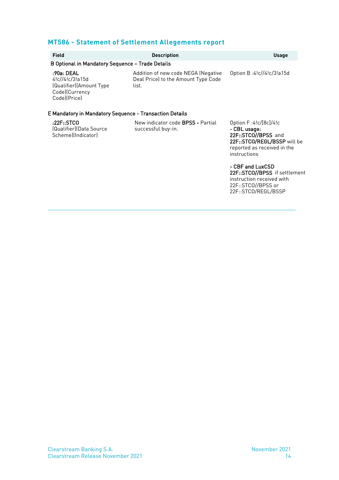#### **MT586 - Statement of Settlement Allegements report**

| <b>Field</b><br>B Optional in Mandatory Sequence - Trade Details                                                                                             | <b>Description</b>                                                                  | <b>Usage</b>                                                                                                                               |
|--------------------------------------------------------------------------------------------------------------------------------------------------------------|-------------------------------------------------------------------------------------|--------------------------------------------------------------------------------------------------------------------------------------------|
| :90a: DEAL<br>$4!c$ // $4!c$ /3!a15d<br>(Qualifier)(Amount Type<br>Code)(Currency<br>Code)(Price)<br>E Mandatory in Mandatory Sequence - Transaction Details | Addition of new code NEGA (Negative<br>Deal Price) to the Amount Type Code<br>list. | Option B:4!c//4!c/3!a15d                                                                                                                   |
| :22F::STCO<br>(Qualifier)(Data Source<br>Scheme)(Indicator)                                                                                                  | New indicator code <b>BPSS</b> - Partial<br>successful buy-in.                      | Option F:4!c/[8c]/4!c<br>- CBL usage:<br>22F::STCO//BPSS and<br>22F::STCO/REGL/BSSP will be<br>reported as received in the<br>instructions |
|                                                                                                                                                              |                                                                                     | - CBF and LuxCSD                                                                                                                           |

22F::STCO//BPSS if settlement instruction received with 22F::STCO//BPSS or 22F::STCO/REGL/BSSP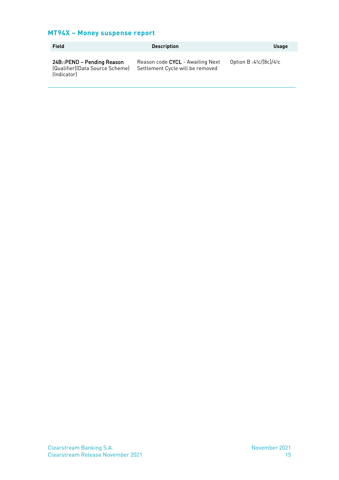#### **MT94X – Money suspense report**

| Field                                                                        | <b>Description</b>                                                   | <b>Usage</b>             |
|------------------------------------------------------------------------------|----------------------------------------------------------------------|--------------------------|
| 24B::PEND – Pending Reason<br>(Qualifier)(Data Source Scheme)<br>(Indicator) | Reason code CYCL - Awaiting Next<br>Settlement Cycle will be removed | Option B:4! $c/[8c]/4!c$ |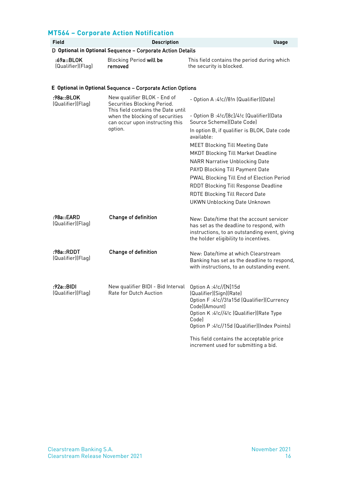#### **MT564 – Corporate Action Notification**

| <b>Field</b>                                               | <b>Description</b>                                                                                                                                                                | <b>Usage</b>                                                                                                                                                                                                                                                                                                                                                                                                                                                                                                                 |  |
|------------------------------------------------------------|-----------------------------------------------------------------------------------------------------------------------------------------------------------------------------------|------------------------------------------------------------------------------------------------------------------------------------------------------------------------------------------------------------------------------------------------------------------------------------------------------------------------------------------------------------------------------------------------------------------------------------------------------------------------------------------------------------------------------|--|
| D Optional in Optional Sequence - Corporate Action Details |                                                                                                                                                                                   |                                                                                                                                                                                                                                                                                                                                                                                                                                                                                                                              |  |
| :69a::BLOK<br>(Qualifier)(Flag)                            | <b>Blocking Period will be</b><br>removed                                                                                                                                         | This field contains the period during which<br>the security is blocked.                                                                                                                                                                                                                                                                                                                                                                                                                                                      |  |
|                                                            | E Optional in Optional Sequence - Corporate Action Options                                                                                                                        |                                                                                                                                                                                                                                                                                                                                                                                                                                                                                                                              |  |
| :98a::BLOK<br>(Qualifier)(Flag)                            | New qualifier BLOK - End of<br>Securities Blocking Period.<br>This field contains the Date until<br>when the blocking of securities<br>can occur upon instructing this<br>option. | - Option A:4!c//8!n (Qualifier)(Date)<br>- Option B :4!c/[8c]/4!c (Qualifier)(Data<br>Source Scheme)(Date Code)<br>In option B, if qualifier is BLOK, Date code<br>available:<br><b>MEET Blocking Till Meeting Date</b><br><b>MKDT Blocking Till Market Deadline</b><br><b>NARR Narrative Unblocking Date</b><br>PAYD Blocking Till Payment Date<br>PWAL Blocking Till End of Election Period<br><b>RDDT Blocking Till Response Deadline</b><br><b>RDTE Blocking Till Record Date</b><br><b>UKWN Unblocking Date Unknown</b> |  |
| :98a::EARD<br>(Qualifier)(Flag)                            | Change of definition                                                                                                                                                              | New: Date/time that the account servicer<br>has set as the deadline to respond, with<br>instructions, to an outstanding event, giving<br>the holder eligibility to incentives.                                                                                                                                                                                                                                                                                                                                               |  |
| :98a::RDDT<br>(Qualifier)(Flag)                            | Change of definition                                                                                                                                                              | New: Date/time at which Clearstream<br>Banking has set as the deadline to respond,<br>with instructions, to an outstanding event.                                                                                                                                                                                                                                                                                                                                                                                            |  |
| :92a::BIDI<br>(Qualifier)(Flag)                            | New qualifier BIDI - Bid Interval Option A:4!c//[N]15d<br>Rate for Dutch Auction [Qualifier](Sign)(Rate)                                                                          | Option F:4!c//3!a15d (Qualifier)(Currency<br>Code)(Amount)<br>Option K:4!c//4!c (Qualifier)(Rate Type<br>Code)<br>Option P:4!c//15d (Qualifier)(Index Points)<br>This field contains the acceptable price<br>increment used for submitting a bid.                                                                                                                                                                                                                                                                            |  |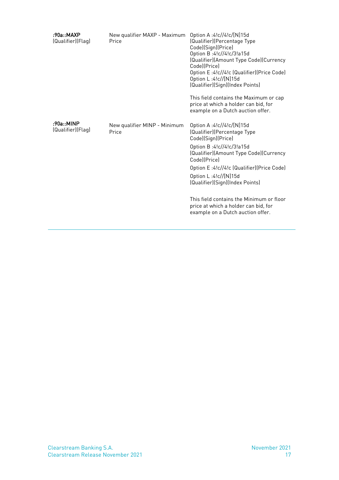| :90a::MAXP<br>(Qualifier)(Flag) | New qualifier MAXP - Maximum<br>Price | Option A:4!c//4!c/[N]15d<br>(Qualifier)(Percentage Type<br>Code)(Sign)(Price)<br>Option B:4!c//4!c/3!a15d<br>(Qualifier)(Amount Type Code)(Currency<br>Codel(Price)<br>Option E:4!c//4!c (Qualifier)(Price Code)<br>Option L:4!c//[N]15d<br>(Qualifier)(Sign)(Index Points)<br>This field contains the Maximum or cap<br>price at which a holder can bid, for<br>example on a Dutch auction offer.   |
|---------------------------------|---------------------------------------|------------------------------------------------------------------------------------------------------------------------------------------------------------------------------------------------------------------------------------------------------------------------------------------------------------------------------------------------------------------------------------------------------|
| :90a::MINP<br>(Qualifier)(Flag) | New qualifier MINP - Minimum<br>Price | Option A:4!c//4!c/[N]15d<br>(Qualifier)(Percentage Type<br>Code)(Sign)(Price)<br>Option B:4!c//4!c/3!a15d<br>(Qualifier)(Amount Type Code)(Currency<br>Codel(Price)<br>Option E:4!c//4!c (Qualifier)(Price Code)<br>Option L:4!c//[N]15d<br>(Qualifier)(Sign)(Index Points)<br>This field contains the Minimum or floor<br>price at which a holder can bid, for<br>example on a Dutch auction offer. |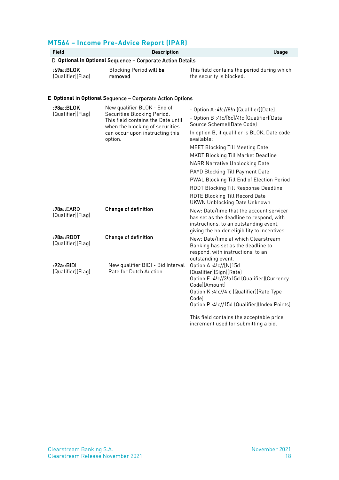| <b>MT564 - Income Pre-Advice Report (IPAR)</b>             |                                                                                                      |                                                                         |  |  |
|------------------------------------------------------------|------------------------------------------------------------------------------------------------------|-------------------------------------------------------------------------|--|--|
| <b>Field</b>                                               | <b>Description</b><br><b>Usage</b>                                                                   |                                                                         |  |  |
|                                                            | D Optional in Optional Sequence - Corporate Action Details                                           |                                                                         |  |  |
| :69a::BLOK<br>(Qualifier)(Flag)                            | Blocking Period will be<br>removed                                                                   | This field contains the period during which<br>the security is blocked. |  |  |
| E Optional in Optional Sequence – Corporate Action Options |                                                                                                      |                                                                         |  |  |
| :98a::BLOK<br>(Qualifier)(Flag)                            | New qualifier BLOK - End of                                                                          | - Option A :4!c//8!n (Qualifier)(Date)                                  |  |  |
|                                                            | Securities Blocking Period.<br>This field contains the Date until<br>when the blocking of securities | - Option B:4!c/[8c]/4!c (Qualifier)(Data<br>Source Schemel(Date Code)   |  |  |
|                                                            | can occur upon instructing this<br>option.                                                           | In option B, if qualifier is BLOK, Date code<br>available:              |  |  |
|                                                            |                                                                                                      | <b>MEET Blocking Till Meeting Date</b>                                  |  |  |
|                                                            |                                                                                                      | <b>MKDT Blocking Till Market Deadline</b>                               |  |  |

|                                 |                                                             | NARR Narrative Unblocking Date                                                                                                                                                                                   |
|---------------------------------|-------------------------------------------------------------|------------------------------------------------------------------------------------------------------------------------------------------------------------------------------------------------------------------|
|                                 |                                                             | PAYD Blocking Till Payment Date                                                                                                                                                                                  |
|                                 |                                                             | <b>PWAL Blocking Till End of Election Period</b>                                                                                                                                                                 |
|                                 |                                                             | <b>RDDT Blocking Till Response Deadline</b>                                                                                                                                                                      |
|                                 |                                                             | <b>RDTE Blocking Till Record Date</b><br>UKWN Unblocking Date Unknown                                                                                                                                            |
| :98a::EARD<br>(Qualifier)(Flag) | <b>Change of definition</b>                                 | New: Date/time that the account servicer<br>has set as the deadline to respond, with<br>instructions, to an outstanding event,<br>giving the holder eligibility to incentives.                                   |
| :98a::RDDT<br>(Qualifier)(Flag) | <b>Change of definition</b>                                 | New: Date/time at which Clearstream<br>Banking has set as the deadline to<br>respond, with instructions, to an<br>outstanding event.                                                                             |
| :92a::BIDI<br>(Qualifier)(Flag) | New qualifier BIDI - Bid Interval<br>Rate for Dutch Auction | Option A:4!c//[N]15d<br>(Qualifier)(Sign)(Rate)<br>Option F:4!c//3!a15d (Qualifier)(Currency<br>Code)(Amount)<br>Option K:4!c//4!c (Qualifier)(Rate Type<br>Codel<br>Option P:4!c//15d (Qualifier)(Index Points) |
|                                 |                                                             | This field contains the concentral contain                                                                                                                                                                       |

This field contains the acceptable price increment used for submitting a bid.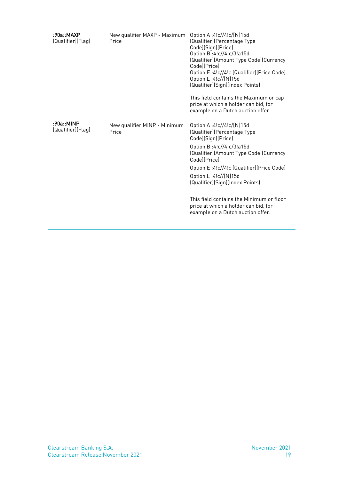| :90a::MAXP<br>(Qualifier)(Flag) | New qualifier MAXP - Maximum<br>Price | Option A:4!c//4!c/[N]15d<br>(Qualifier)(Percentage Type<br>Code)(Sign)(Price)<br>Option B:4!c//4!c/3!a15d<br>(Qualifier)(Amount Type Code)(Currency<br>Code](Price)<br>Option E:4!c//4!c (Qualifier)(Price Code)<br>Option L:4!c//[N]15d<br>(Qualifier)(Sign)(Index Points)<br>This field contains the Maximum or cap<br>price at which a holder can bid, for<br>example on a Dutch auction offer.   |
|---------------------------------|---------------------------------------|------------------------------------------------------------------------------------------------------------------------------------------------------------------------------------------------------------------------------------------------------------------------------------------------------------------------------------------------------------------------------------------------------|
| :90a::MINP<br>(Qualifier)(Flag) | New qualifier MINP - Minimum<br>Price | Option A:4!c//4!c/[N]15d<br>(Qualifier)(Percentage Type<br>Code)(Sign)(Price)<br>Option B:4!c//4!c/3!a15d<br>(Qualifier)(Amount Type Code)(Currency<br>Code](Price)<br>Option E:4!c//4!c (Qualifier)(Price Code)<br>Option L:4!c//[N]15d<br>(Qualifier)(Sign)(Index Points)<br>This field contains the Minimum or floor<br>price at which a holder can bid, for<br>example on a Dutch auction offer. |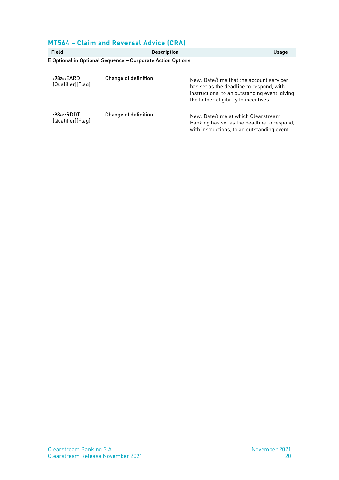#### **MT564 – Claim and Reversal Advice (CRA)**

| Field                           | <b>Description</b>                                         | <b>Usage</b>                                                                                                                                                                   |
|---------------------------------|------------------------------------------------------------|--------------------------------------------------------------------------------------------------------------------------------------------------------------------------------|
|                                 | E Optional in Optional Sequence – Corporate Action Options |                                                                                                                                                                                |
| :98a::EARD<br>(Qualifier)(Flag) | <b>Change of definition</b>                                | New: Date/time that the account servicer<br>has set as the deadline to respond, with<br>instructions, to an outstanding event, giving<br>the holder eligibility to incentives. |
| :98a::RDDT<br>(Qualifier)(Flag) | <b>Change of definition</b>                                | New: Date/time at which Clearstream<br>Banking has set as the deadline to respond,<br>with instructions, to an outstanding event.                                              |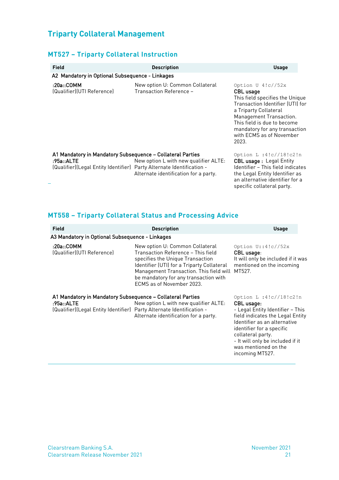#### **Triparty Collateral Management**

#### **MT527 – Triparty Collateral Instruction**

| <b>Field</b>                                                                                                                                      | <b>Description</b>                                                             | <b>Usage</b>                                                                                                                                                                                                                                                            |
|---------------------------------------------------------------------------------------------------------------------------------------------------|--------------------------------------------------------------------------------|-------------------------------------------------------------------------------------------------------------------------------------------------------------------------------------------------------------------------------------------------------------------------|
| A2 Mandatory in Optional Subsequence - Linkages                                                                                                   |                                                                                |                                                                                                                                                                                                                                                                         |
| :20a::COMM<br>(Qualifier)(UTI Reference)                                                                                                          | New option U: Common Collateral<br>Transaction Reference -                     | Option $U$ 4!c//52x<br><b>CBL</b> usage<br>This field specifies the Unique<br>Transaction Identifier (UTI) for<br>a Triparty Collateral<br>Management Transaction.<br>This field is due to become<br>mandatory for any transaction<br>with ECMS as of November<br>2023. |
| A1 Mandatory in Mandatory Subsequence - Collateral Parties<br>:95a::ALTE<br>(Qualifier)(Legal Entity Identifier) Party Alternate Identification - | New option L with new qualifier ALTE:<br>Alternate identification for a party. | Option L : $4!c//18!c2!n$<br><b>CBL usage: Legal Entity</b><br>Identifier - This field indicates<br>the Legal Entity Identifier as<br>an alternative identifier for a<br>specific collateral party.                                                                     |

#### **MT558 – Triparty Collateral Status and Processing Advice**

| <b>Field</b>                                                                                                                                      | <b>Description</b>                                                                                                                                                                                                                                                              | <b>Usage</b>                                                                                                                                                                                                                                                                     |
|---------------------------------------------------------------------------------------------------------------------------------------------------|---------------------------------------------------------------------------------------------------------------------------------------------------------------------------------------------------------------------------------------------------------------------------------|----------------------------------------------------------------------------------------------------------------------------------------------------------------------------------------------------------------------------------------------------------------------------------|
| A3 Mandatory in Optional Subsequence - Linkages                                                                                                   |                                                                                                                                                                                                                                                                                 |                                                                                                                                                                                                                                                                                  |
| :20a::COMM<br>(Qualifier)(UTI Reference)                                                                                                          | New option U: Common Collateral<br>Transaction Reference - This field<br>specifies the Unique Transaction<br>Identifier (UTI) for a Triparty Collateral<br>Management Transaction. This field will MT527.<br>be mandatory for any transaction with<br>ECMS as of November 2023. | Option $U$ ::4!c//52x<br>CBL usage:<br>It will only be included if it was<br>mentioned on the incoming                                                                                                                                                                           |
| A1 Mandatory in Mandatory Subsequence – Collateral Parties<br>:95a::ALTE<br>(Qualifier)(Legal Entity Identifier) Party Alternate Identification - | New option L with new qualifier ALTE:<br>Alternate identification for a party.                                                                                                                                                                                                  | Option L : $4!c//18!c2!n$<br>CBL usage:<br>- Legal Entity Identifier – This<br>field indicates the Legal Entity<br>Identifier as an alternative<br>identifier for a specific<br>collateral party.<br>- It will only be included if it<br>was mentioned on the<br>incoming MT527. |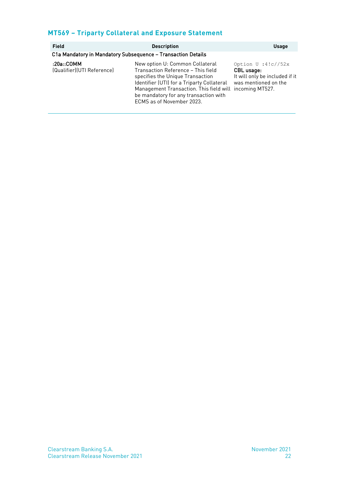#### **MT569 – Triparty Collateral and Exposure Statement**

| <b>Field</b>                             | <b>Description</b>                                                                                                                                                                                                                                                                       | <b>Usage</b>                                                                                  |
|------------------------------------------|------------------------------------------------------------------------------------------------------------------------------------------------------------------------------------------------------------------------------------------------------------------------------------------|-----------------------------------------------------------------------------------------------|
|                                          | C1a Mandatory in Mandatory Subsequence - Transaction Details                                                                                                                                                                                                                             |                                                                                               |
| :20a::COMM<br>(Qualifier)(UTI Reference) | New option U: Common Collateral<br>Transaction Reference - This field<br>specifies the Unique Transaction<br>Identifier (UTI) for a Triparty Collateral<br>Management Transaction. This field will incoming MT527.<br>be mandatory for any transaction with<br>ECMS as of November 2023. | Option $U : 4!c//52x$<br>CBL usage:<br>It will only be included if it<br>was mentioned on the |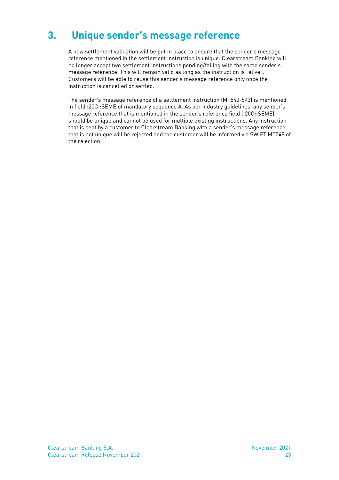### <span id="page-24-0"></span>**3. Unique sender's message reference**

A new settlement validation will be put in place to ensure that the sender's message reference mentioned in the settlement instruction is unique. Clearstream Banking will no longer accept two settlement instructions pending/failing with the same sender's message reference. This will remain valid as long as the instruction is "alive". Customers will be able to reuse this sender's message reference only once the instruction is cancelled or settled.

The sender's message reference of a settlement instruction (MT540-543) is mentioned in field :20C::SEME of mandatory sequence A. As per industry guidelines, any sender's message reference that is mentioned in the sender's reference field (:20C::SEME) should be unique and cannot be used for multiple existing instructions. Any instruction that is sent by a customer to Clearstream Banking with a sender's message reference that is not unique will be rejected and the customer will be informed via SWIFT MT548 of the rejection.